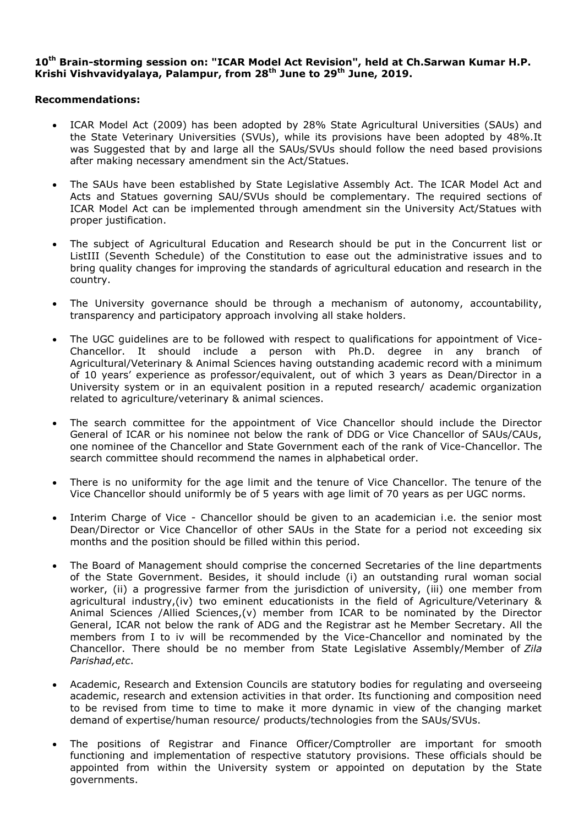## **10th Brain-storming session on: "ICAR Model Act Revision", held at Ch.Sarwan Kumar H.P. Krishi Vishvavidyalaya, Palampur, from 28th June to 29th June, 2019.**

## **Recommendations:**

- ICAR Model Act (2009) has been adopted by 28% State Agricultural Universities (SAUs) and the State Veterinary Universities (SVUs), while its provisions have been adopted by 48%.It was Suggested that by and large all the SAUs/SVUs should follow the need based provisions after making necessary amendment sin the Act/Statues.
- The SAUs have been established by State Legislative Assembly Act. The ICAR Model Act and Acts and Statues governing SAU/SVUs should be complementary. The required sections of ICAR Model Act can be implemented through amendment sin the University Act/Statues with proper justification.
- The subject of Agricultural Education and Research should be put in the Concurrent list or ListIII (Seventh Schedule) of the Constitution to ease out the administrative issues and to bring quality changes for improving the standards of agricultural education and research in the country.
- The University governance should be through a mechanism of autonomy, accountability, transparency and participatory approach involving all stake holders.
- The UGC guidelines are to be followed with respect to qualifications for appointment of Vice-Chancellor. It should include a person with Ph.D. degree in any branch of Agricultural/Veterinary & Animal Sciences having outstanding academic record with a minimum of 10 years' experience as professor/equivalent, out of which 3 years as Dean/Director in a University system or in an equivalent position in a reputed research/ academic organization related to agriculture/veterinary & animal sciences.
- The search committee for the appointment of Vice Chancellor should include the Director General of ICAR or his nominee not below the rank of DDG or Vice Chancellor of SAUs/CAUs, one nominee of the Chancellor and State Government each of the rank of Vice-Chancellor. The search committee should recommend the names in alphabetical order.
- There is no uniformity for the age limit and the tenure of Vice Chancellor. The tenure of the Vice Chancellor should uniformly be of 5 years with age limit of 70 years as per UGC norms.
- Interim Charge of Vice Chancellor should be given to an academician i.e. the senior most Dean/Director or Vice Chancellor of other SAUs in the State for a period not exceeding six months and the position should be filled within this period.
- The Board of Management should comprise the concerned Secretaries of the line departments of the State Government. Besides, it should include (i) an outstanding rural woman social worker, (ii) a progressive farmer from the jurisdiction of university, (iii) one member from agricultural industry,(iv) two eminent educationists in the field of Agriculture/Veterinary & Animal Sciences /Allied Sciences, $(v)$  member from ICAR to be nominated by the Director General, ICAR not below the rank of ADG and the Registrar ast he Member Secretary. All the members from I to iv will be recommended by the Vice-Chancellor and nominated by the Chancellor. There should be no member from State Legislative Assembly/Member of *Zila Parishad,etc*.
- Academic, Research and Extension Councils are statutory bodies for regulating and overseeing academic, research and extension activities in that order. Its functioning and composition need to be revised from time to time to make it more dynamic in view of the changing market demand of expertise/human resource/ products/technologies from the SAUs/SVUs.
- The positions of Registrar and Finance Officer/Comptroller are important for smooth functioning and implementation of respective statutory provisions. These officials should be appointed from within the University system or appointed on deputation by the State governments.